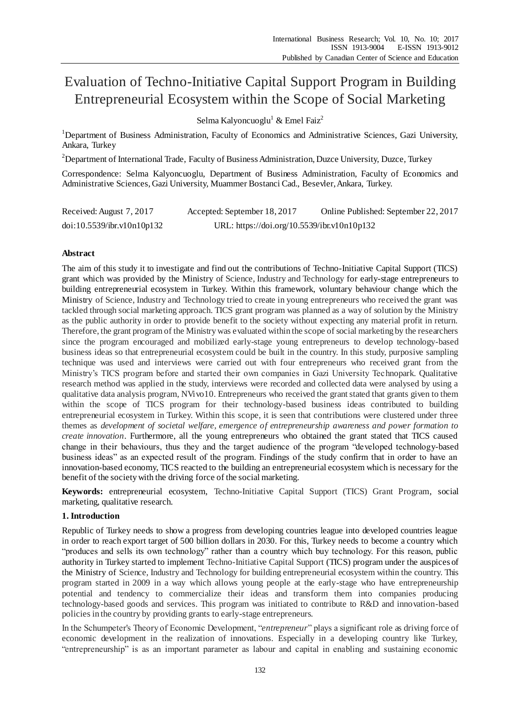# Evaluation of Techno-Initiative Capital Support Program in Building Entrepreneurial Ecosystem within the Scope of Social Marketing

Selma Kalyoncuoglu<sup>1</sup> & Emel Faiz<sup>2</sup>

<sup>1</sup>Department of Business Administration, Faculty of Economics and Administrative Sciences, Gazi University, Ankara, Turkey

<sup>2</sup>Department of International Trade, Faculty of Business Administration, Duzce University, Duzce, Turkey

Correspondence: Selma Kalyoncuoglu, Department of Business Administration, Faculty of Economics and Administrative Sciences, Gazi University, Muammer Bostanci Cad., Besevler, Ankara, Turkey.

| Received: August 7, 2017   | Accepted: September 18, 2017                | Online Published: September 22, 2017 |  |
|----------------------------|---------------------------------------------|--------------------------------------|--|
| doi:10.5539/ibr.v10n10p132 | URL: https://doi.org/10.5539/ibr.v10n10p132 |                                      |  |

# **Abstract**

The aim of this study it to investigate and find out the contributions of Techno-Initiative Capital Support (TICS) grant which was provided by the Ministry of Science, Industry and Technology for early-stage entrepreneurs to building entrepreneurial ecosystem in Turkey. Within this framework, voluntary behaviour change which the Ministry of Science, Industry and Technology tried to create in young entrepreneurs who received the grant was tackled through social marketing approach. TICS grant program was planned as a way of solution by the Ministry as the public authority in order to provide benefit to the society without expecting any material profit in return. Therefore, the grant program of the Ministry was evaluated within the scope of social marketing by the researchers since the program encouraged and mobilized early-stage young entrepreneurs to develop technology-based business ideas so that entrepreneurial ecosystem could be built in the country. In this study, purposive sampling technique was used and interviews were carried out with four entrepreneurs who received grant from the Ministry's TICS program before and started their own companies in Gazi University Technopark. Qualitative research method was applied in the study, interviews were recorded and collected data were analysed by using a qualitative data analysis program, NVivo10. Entrepreneurs who received the grant stated that grants given to them within the scope of TICS program for their technology-based business ideas contributed to building entrepreneurial ecosystem in Turkey. Within this scope, it is seen that contributions were clustered under three themes as *development of societal welfare, emergence of entrepreneurship awareness and power formation to create innovation*. Furthermore, all the young entrepreneurs who obtained the grant stated that TICS caused change in their behaviours, thus they and the target audience of the program "developed technology-based business ideas" as an expected result of the program. Findings of the study confirm that in order to have an innovation-based economy, TICS reacted to the building an entrepreneurial ecosystem which is necessary for the benefit of the society with the driving force of the social marketing.

**Keywords:** entrepreneurial ecosystem, Techno-Initiative Capital Support (TICS) Grant Program, social marketing, qualitative research.

# **1. Introduction**

Republic of Turkey needs to show a progress from developing countries league into developed countries league in order to reach export target of 500 billion dollars in 2030. For this, Turkey needs to become a country which "produces and sells its own technology" rather than a country which buy technology. For this reason, public authority in Turkey started to implement Techno-Initiative Capital Support (TICS) program under the auspices of the Ministry of Science, Industry and Technology for building entrepreneurial ecosystem within the country. This program started in 2009 in a way which allows young people at the early-stage who have entrepreneurship potential and tendency to commercialize their ideas and transform them into companies producing technology-based goods and services. This program was initiated to contribute to R&D and innovation-based policies in the country by providing grants to early-stage entrepreneurs.

In the Schumpeter's Theory of Economic Development, "*entrepreneur*" plays a significant role as driving force of economic development in the realization of innovations. Especially in a developing country like Turkey, "entrepreneurship" is as an important parameter as labour and capital in enabling and sustaining economic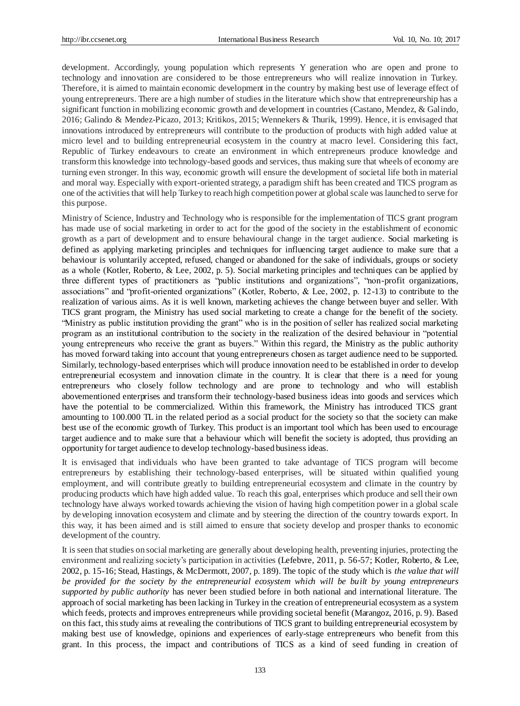development. Accordingly, young population which represents Y generation who are open and prone to technology and innovation are considered to be those entrepreneurs who will realize innovation in Turkey. Therefore, it is aimed to maintain economic development in the country by making best use of leverage effect of young entrepreneurs. There are a high number of studies in the literature which show that entrepreneurship has a significant function in mobilizing economic growth and development in countries (Castano, Mendez, & Galindo, 2016; Galindo & Mendez-Picazo, 2013; Kritikos, 2015; Wennekers & Thurik, 1999). Hence, it is envisaged that innovations introduced by entrepreneurs will contribute to the production of products with high added value at micro level and to building entrepreneurial ecosystem in the country at macro level. Considering this fact, Republic of Turkey endeavours to create an environment in which entrepreneurs produce knowledge and transform this knowledge into technology-based goods and services, thus making sure that wheels of economy are turning even stronger. In this way, economic growth will ensure the development of societal life both in material and moral way. Especially with export-oriented strategy, a paradigm shift has been created and TICS program as one of the activities that will help Turkey to reach high competition power at global scale was launched to serve for this purpose.

Ministry of Science, Industry and Technology who is responsible for the implementation of TICS grant program has made use of social marketing in order to act for the good of the society in the establishment of economic growth as a part of development and to ensure behavioural change in the target audience. Social marketing is defined as applying marketing principles and techniques for influencing target audience to make sure that a behaviour is voluntarily accepted, refused, changed or abandoned for the sake of individuals, groups or society as a whole (Kotler, Roberto, & Lee, 2002, p. 5). Social marketing principles and techniques can be applied by three different types of practitioners as "public institutions and organizations", "non-profit organizations, associations" and "profit-oriented organizations" (Kotler, Roberto, & Lee, 2002, p. 12-13) to contribute to the realization of various aims. As it is well known, marketing achieves the change between buyer and seller. With TICS grant program, the Ministry has used social marketing to create a change for the benefit of the society. "Ministry as public institution providing the grant" who is in the position of seller has realized social marketing program as an institutional contribution to the society in the realization of the desired behaviour in "potential young entrepreneurs who receive the grant as buyers." Within this regard, the Ministry as the public authority has moved forward taking into account that young entrepreneurs chosen as target audience need to be supported. Similarly, technology-based enterprises which will produce innovation need to be established in order to develop entrepreneurial ecosystem and innovation climate in the country. It is clear that there is a need for young entrepreneurs who closely follow technology and are prone to technology and who will establish abovementioned enterprises and transform their technology-based business ideas into goods and services which have the potential to be commercialized. Within this framework, the Ministry has introduced TICS grant amounting to 100.000 TL in the related period as a social product for the society so that the society can make best use of the economic growth of Turkey. This product is an important tool which has been used to encourage target audience and to make sure that a behaviour which will benefit the society is adopted, thus providing an opportunity for target audience to develop technology-based business ideas.

It is envisaged that individuals who have been granted to take advantage of TICS program will become entrepreneurs by establishing their technology-based enterprises, will be situated within qualified young employment, and will contribute greatly to building entrepreneurial ecosystem and climate in the country by producing products which have high added value. To reach this goal, enterprises which produce and sell their own technology have always worked towards achieving the vision of having high competition power in a global scale by developing innovation ecosystem and climate and by steering the direction of the country towards export. In this way, it has been aimed and is still aimed to ensure that society develop and prosper thanks to economic development of the country.

It is seen that studies on social marketing are generally about developing health, preventing injuries, protecting the environment and realizing society's participation in activities (Lefebvre, 2011, p. 56-57; Kotler, Roberto, & Lee, 2002, p. 15-16; Stead, Hastings, & McDermott, 2007, p. 189). The topic of the study which is *the value that will be provided for the society by the entrepreneurial ecosystem which will be built by young entrepreneurs supported by public authority* has never been studied before in both national and international literature. The approach of social marketing has been lacking in Turkey in the creation of entrepreneurial ecosystem as a system which feeds, protects and improves entrepreneurs while providing societal benefit (Marangoz, 2016, p. 9). Based on this fact, this study aims at revealing the contributions of TICS grant to building entrepreneurial ecosystem by making best use of knowledge, opinions and experiences of early-stage entrepreneurs who benefit from this grant. In this process, the impact and contributions of TICS as a kind of seed funding in creation of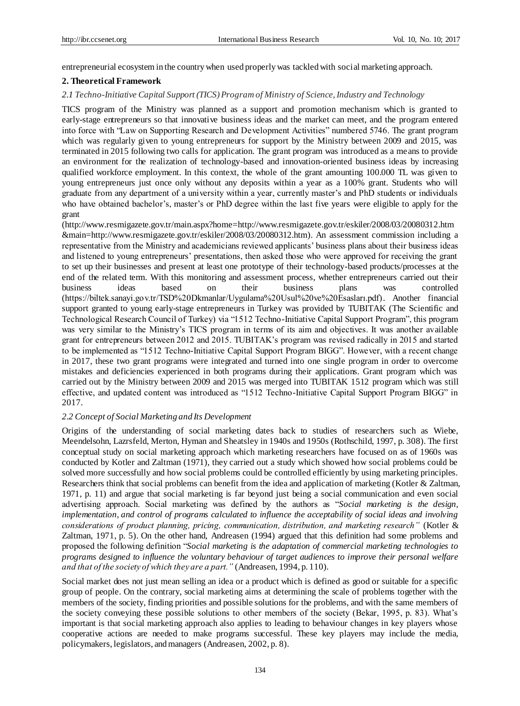entrepreneurial ecosystem in the country when used properly was tackled with social marketing approach.

## **2. Theoretical Framework**

## *2.1 Techno-Initiative Capital Support (TICS) Program of Ministry of Science, Industry and Technology*

TICS program of the Ministry was planned as a support and promotion mechanism which is granted to early-stage entrepreneurs so that innovative business ideas and the market can meet, and the program entered into force with "Law on Supporting Research and Development Activities" numbered 5746. The grant program which was regularly given to young entrepreneurs for support by the Ministry between 2009 and 2015, was terminated in 2015 following two calls for application. The grant program was introduced as a means to provide an environment for the realization of technology-based and innovation-oriented business ideas by increasing qualified workforce employment. In this context, the whole of the grant amounting 100.000 TL was given to young entrepreneurs just once only without any deposits within a year as a 100% grant. Students who will graduate from any department of a university within a year, currently master's and PhD students or individuals who have obtained bachelor's, master's or PhD degree within the last five years were eligible to apply for the grant

(http://www.resmigazete.gov.tr/main.aspx?home=http://www.resmigazete.gov.tr/eskiler/2008/03/20080312.htm &main=http://www.resmigazete.gov.tr/eskiler/2008/03/20080312.htm). An assessment commission including a representative from the Ministry and academicians reviewed applicants' business plans about their business ideas and listened to young entrepreneurs' presentations, then asked those who were approved for receiving the grant to set up their businesses and present at least one prototype of their technology-based products/processes at the end of the related term. With this monitoring and assessment process, whether entrepreneurs carried out their business ideas based on their business plans was controlled [\(https://biltek.sanayi.gov.tr/TSD%20Dkmanlar/Uygulama%20Usul%20ve%20Esasları.pdf\).](https://biltek.sanayi.gov.tr/TSD%20Dkmanlar/Uygulama%20Usul%20ve%20Esasları.pdf)) Another financial support granted to young early-stage entrepreneurs in Turkey was provided by TUBITAK (The Scientific and Technological Research Council of Turkey) via "1512 Techno-Initiative Capital Support Program", this program was very similar to the Ministry's TICS program in terms of its aim and objectives. It was another available grant for entrepreneurs between 2012 and 2015. TUBITAK's program was revised radically in 2015 and started to be implemented as "1512 Techno-Initiative Capital Support Program BIGG". However, with a recent change in 2017, these two grant programs were integrated and turned into one single program in order to overcome mistakes and deficiencies experienced in both programs during their applications. Grant program which was carried out by the Ministry between 2009 and 2015 was merged into TUBITAK 1512 program which was still effective, and updated content was introduced as "1512 Techno-Initiative Capital Support Program BIGG" in 2017.

## *2.2 Concept of Social Marketing and Its Development*

Origins of the understanding of social marketing dates back to studies of researchers such as Wiebe, Meendelsohn, Lazrsfeld, Merton, Hyman and Sheatsley in 1940s and 1950s (Rothschild, 1997, p. 308). The first conceptual study on social marketing approach which marketing researchers have focused on as of 1960s was conducted by Kotler and Zaltman (1971), they carried out a study which showed how social problems could be solved more successfully and how social problems could be controlled efficiently by using marketing principles. Researchers think that social problems can benefit from the idea and application of marketing (Kotler & Zaltman, 1971, p. 11) and argue that social marketing is far beyond just being a social communication and even social advertising approach. Social marketing was defined by the authors as "*Social marketing is the design, implementation, and control of programs calculated to influence the acceptability of social ideas and involving considerations of product planning, pricing, communication, distribution, and marketing research"* (Kotler & Zaltman, 1971, p. 5). On the other hand, Andreasen (1994) argued that this definition had some problems and proposed the following definition "*Social marketing is the adaptation of commercial marketing technologies to programs designed to influence the voluntary behaviour of target audiences to improve their personal welfare and that of the society of which they are a part."* (Andreasen, 1994, p. 110).

Social market does not just mean selling an idea or a product which is defined as good or suitable for a specific group of people. On the contrary, social marketing aims at determining the scale of problems together with the members of the society, finding priorities and possible solutions for the problems, and with the same members of the society conveying these possible solutions to other members of the society (Bekar, 1995, p. 83). What's important is that social marketing approach also applies to leading to behaviour changes in key players whose cooperative actions are needed to make programs successful. These key players may include the media, policymakers, legislators, and managers (Andreasen, 2002, p. 8).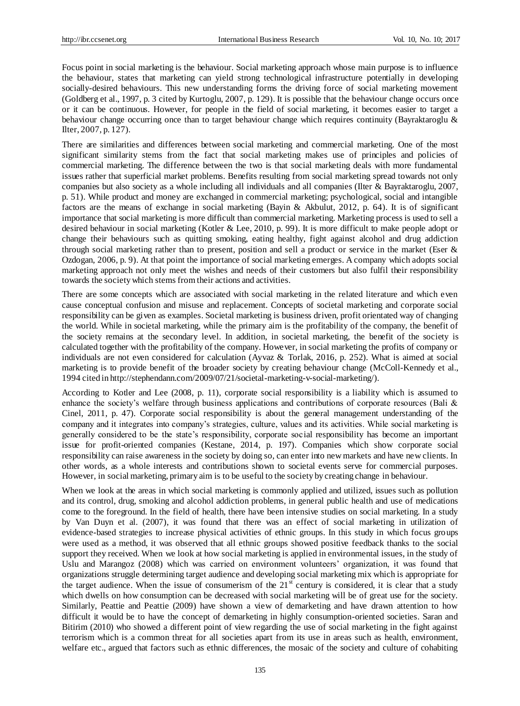Focus point in social marketing is the behaviour. Social marketing approach whose main purpose is to influence the behaviour, states that marketing can yield strong technological infrastructure potentially in developing socially-desired behaviours. This new understanding forms the driving force of social marketing movement (Goldberg et al., 1997, p. 3 cited by Kurtoglu, 2007, p. 129). It is possible that the behaviour change occurs once or it can be continuous. However, for people in the field of social marketing, it becomes easier to target a behaviour change occurring once than to target behaviour change which requires continuity (Bayraktaroglu & Ilter, 2007, p. 127).

There are similarities and differences between social marketing and commercial marketing. One of the most significant similarity stems from the fact that social marketing makes use of principles and policies of commercial marketing. The difference between the two is that social marketing deals with more fundamental issues rather that superficial market problems. Benefits resulting from social marketing spread towards not only companies but also society as a whole including all individuals and all companies (Ilter & Bayraktaroglu, 2007, p. 51). While product and money are exchanged in commercial marketing; psychological, social and intangible factors are the means of exchange in social marketing (Bayin & Akbulut, 2012, p. 64). It is of significant importance that social marketing is more difficult than commercial marketing. Marketing process is used to sell a desired behaviour in social marketing (Kotler & Lee, 2010, p. 99). It is more difficult to make people adopt or change their behaviours such as quitting smoking, eating healthy, fight against alcohol and drug addiction through social marketing rather than to present, position and sell a product or service in the market (Eser & Ozdogan, 2006, p. 9). At that point the importance of social marketing emerges. A company which adopts social marketing approach not only meet the wishes and needs of their customers but also fulfil their responsibility towards the society which stems from their actions and activities.

There are some concepts which are associated with social marketing in the related literature and which even cause conceptual confusion and misuse and replacement. Concepts of societal marketing and corporate social responsibility can be given as examples. Societal marketing is business driven, profit orientated way of changing the world. While in societal marketing, while the primary aim is the profitability of the company, the benefit of the society remains at the secondary level. In addition, in societal marketing, the benefit of the society is calculated together with the profitability of the company. However, in social marketing the profits of company or individuals are not even considered for calculation (Ayvaz & Torlak, 2016, p. 252). What is aimed at social marketing is to provide benefit of the broader society by creating behaviour change (McColl-Kennedy et al., 1994 cited i[n http://stephendann.com/2009/07/21/societal-marketing-v-social-marketing/\)](http://stephendann.com/2009/07/21/societal-marketing-v-social-marketing/).

According to Kotler and Lee (2008, p. 11), corporate social responsibility is a liability which is assumed to enhance the society's welfare through business applications and contributions of corporate resources (Bali & Cinel, 2011, p. 47). Corporate social responsibility is about the general management understanding of the company and it integrates into company's strategies, culture, values and its activities. While social marketing is generally considered to be the state's responsibility, corporate social responsibility has become an important issue for profit-oriented companies (Kestane, 2014, p. 197). Companies which show corporate social responsibility can raise awareness in the society by doing so, can enter into new markets and have new clients. In other words, as a whole interests and contributions shown to societal events serve for commercial purposes. However, in social marketing, primary aim is to be useful to the society by creating change in behaviour.

When we look at the areas in which social marketing is commonly applied and utilized, issues such as pollution and its control, drug, smoking and alcohol addiction problems, in general public health and use of medications come to the foreground. In the field of health, there have been intensive studies on social marketing. In a study by Van Duyn et al. (2007), it was found that there was an effect of social marketing in utilization of evidence-based strategies to increase physical activities of ethnic groups. In this study in which focus groups were used as a method, it was observed that all ethnic groups showed positive feedback thanks to the social support they received. When we look at how social marketing is applied in environmental issues, in the study of Uslu and Marangoz (2008) which was carried on environment volunteers' organization, it was found that organizations struggle determining target audience and developing social marketing mix which is appropriate for the target audience. When the issue of consumerism of the  $21<sup>st</sup>$  century is considered, it is clear that a study which dwells on how consumption can be decreased with social marketing will be of great use for the society. Similarly, Peattie and Peattie (2009) have shown a view of demarketing and have drawn attention to how difficult it would be to have the concept of demarketing in highly consumption-oriented societies. Saran and Bitirim (2010) who showed a different point of view regarding the use of social marketing in the fight against terrorism which is a common threat for all societies apart from its use in areas such as health, environment, welfare etc., argued that factors such as ethnic differences, the mosaic of the society and culture of cohabiting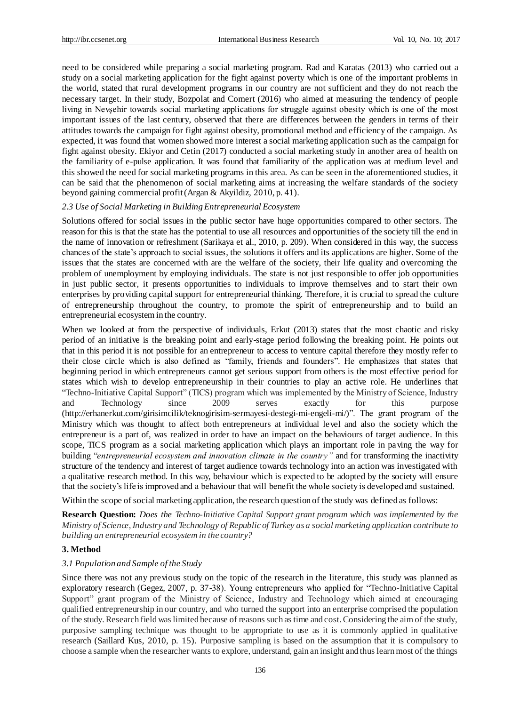need to be considered while preparing a social marketing program. Rad and Karatas (2013) who carried out a study on a social marketing application for the fight against poverty which is one of the important problems in the world, stated that rural development programs in our country are not sufficient and they do not reach the necessary target. In their study, Bozpolat and Comert (2016) who aimed at measuring the tendency of people living in Nevşehir towards social marketing applications for struggle against obesity which is one of the most important issues of the last century, observed that there are differences between the genders in terms of their attitudes towards the campaign for fight against obesity, promotional method and efficiency of the campaign. As expected, it was found that women showed more interest a social marketing application such as the campaign for fight against obesity. Ekiyor and Cetin (2017) conducted a social marketing study in another area of health on the familiarity of e-pulse application. It was found that familiarity of the application was at medium level and this showed the need for social marketing programs in this area. As can be seen in the aforementioned studies, it can be said that the phenomenon of social marketing aims at increasing the welfare standards of the society beyond gaining commercial profit (Argan & Akyildiz, 2010, p. 41).

## *2.3 Use of Social Marketing in Building Entrepreneurial Ecosystem*

Solutions offered for social issues in the public sector have huge opportunities compared to other sectors. The reason for this is that the state has the potential to use all resources and opportunities of the society till the end in the name of innovation or refreshment (Sarikaya et al., 2010, p. 209). When considered in this way, the success chances of the state's approach to social issues, the solutions it offers and its applications are higher. Some of the issues that the states are concerned with are the welfare of the society, their life quality and overcoming the problem of unemployment by employing individuals. The state is not just responsible to offer job opportunities in just public sector, it presents opportunities to individuals to improve themselves and to start their own enterprises by providing capital support for entrepreneurial thinking. Therefore, it is crucial to spread the culture of entrepreneurship throughout the country, to promote the spirit of entrepreneurship and to build an entrepreneurial ecosystem in the country.

When we looked at from the perspective of individuals, Erkut (2013) states that the most chaotic and risky period of an initiative is the breaking point and early-stage period following the breaking point. He points out that in this period it is not possible for an entrepreneur to access to venture capital therefore they mostly refer to their close circle which is also defined as "family, friends and founders". He emphasizes that states that beginning period in which entrepreneurs cannot get serious support from others is the most effective period for states which wish to develop entrepreneurship in their countries to play an active role. He underlines that "Techno-Initiative Capital Support" (TICS) program which was implemented by the Ministry of Science, Industry and Technology since 2009 serves exactly for this purpose [\(http://erhanerkut.com/girisimcilik/teknogirisim-sermayesi-destegi-mi-engeli-mi/\)"](http://erhanerkut.com/girisimcilik/teknogirisim-sermayesi-destegi-mi-engeli-mi/)). The grant program of the Ministry which was thought to affect both entrepreneurs at individual level and also the society which the entrepreneur is a part of, was realized in order to have an impact on the behaviours of target audience. In this scope, TICS program as a social marketing application which plays an important role in paving the way for building "*entrepreneurial ecosystem and innovation climate in the country"* and for transforming the inactivity structure of the tendency and interest of target audience towards technology into an action was investigated with a qualitative research method. In this way, behaviour which is expected to be adopted by the society will ensure that the society's life is improved and a behaviour that will benefit the whole society is developed and sustained.

Within the scope of social marketing application, the research question of the study was defined as follows:

**Research Question:** *Does the Techno-Initiative Capital Support grant program which was implemented by the Ministry of Science, Industry and Technology of Republic of Turkey as a social marketing application contribute to building an entrepreneurial ecosystem in the country?*

# **3. Method**

#### *3.1 Population and Sample of the Study*

Since there was not any previous study on the topic of the research in the literature, this study was planned as exploratory research (Gegez, 2007, p. 37-38). Young entrepreneurs who applied for "Techno-Initiative Capital Support" grant program of the Ministry of Science, Industry and Technology which aimed at encouraging qualified entrepreneurship in our country, and who turned the support into an enterprise comprised the population of the study. Research field was limited because of reasons such as time and cost. Considering the aim of the study, purposive sampling technique was thought to be appropriate to use as it is commonly applied in qualitative research (Saillard Kus, 2010, p. 15). Purposive sampling is based on the assumption that it is compulsory to choose a sample when the researcher wants to explore, understand, gain an insight and thus learn most of the things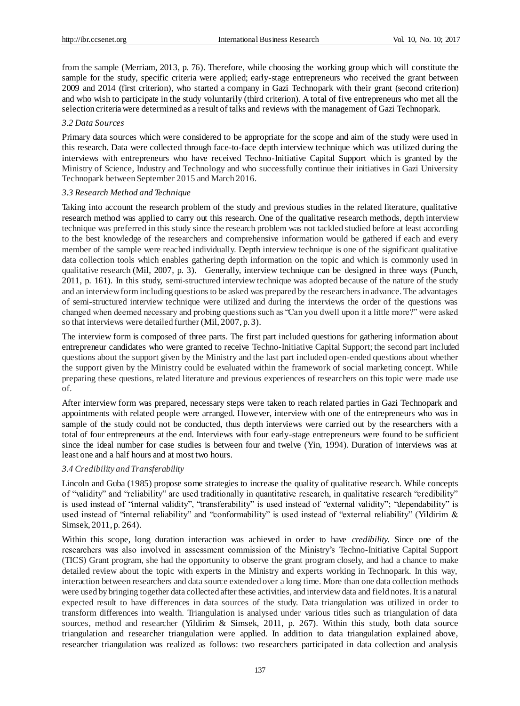from the sample (Merriam, 2013, p. 76). Therefore, while choosing the working group which will constitute the sample for the study, specific criteria were applied; early-stage entrepreneurs who received the grant between 2009 and 2014 (first criterion), who started a company in Gazi Technopark with their grant (second crite rion) and who wish to participate in the study voluntarily (third criterion). A total of five entrepreneurs who met all the selection criteria were determined as a result of talks and reviews with the management of Gazi Technopark.

## *3.2 Data Sources*

Primary data sources which were considered to be appropriate for the scope and aim of the study were used in this research. Data were collected through face-to-face depth interview technique which was utilized during the interviews with entrepreneurs who have received Techno-Initiative Capital Support which is granted by the Ministry of Science, Industry and Technology and who successfully continue their initiatives in Gazi University Technopark between September 2015 and March 2016.

## *3.3 Research Method and Technique*

Taking into account the research problem of the study and previous studies in the related literature, qualitative research method was applied to carry out this research. One of the qualitative research methods, depth interview technique was preferred in this study since the research problem was not tackled studied before at least according to the best knowledge of the researchers and comprehensive information would be gathered if each and every member of the sample were reached individually. Depth interview technique is one of the significant qualitative data collection tools which enables gathering depth information on the topic and which is commonly used in qualitative research (Mil, 2007, p. 3). Generally, interview technique can be designed in three ways (Punch, 2011, p. 161). In this study, semi-structured interview technique was adopted because of the nature of the study and an interview form including questions to be asked was prepared by the researchers in advance. The advantages of semi-structured interview technique were utilized and during the interviews the order of the questions was changed when deemed necessary and probing questions such as "Can you dwell upon it a little more?" were asked so that interviews were detailed further (Mil, 2007, p. 3).

The interview form is composed of three parts. The first part included questions for gathering information about entrepreneur candidates who were granted to receive Techno-Initiative Capital Support; the second part included questions about the support given by the Ministry and the last part included open-ended questions about whether the support given by the Ministry could be evaluated within the framework of social marketing concept. While preparing these questions, related literature and previous experiences of researchers on this topic were made use of.

After interview form was prepared, necessary steps were taken to reach related parties in Gazi Technopark and appointments with related people were arranged. However, interview with one of the entrepreneurs who was in sample of the study could not be conducted, thus depth interviews were carried out by the researchers with a total of four entrepreneurs at the end. Interviews with four early-stage entrepreneurs were found to be sufficient since the ideal number for case studies is between four and twelve (Yin, 1994). Duration of interviews was at least one and a half hours and at most two hours.

## *3.4 Credibility and Transferability*

Lincoln and Guba (1985) propose some strategies to increase the quality of qualitative research. While concepts of "validity" and "reliability" are used traditionally in quantitative research, in qualitative research "credibility" is used instead of "internal validity", "transferability" is used instead of "external validity"; "dependability" is used instead of "internal reliability" and "conformability" is used instead of "external reliability" (Yildirim & Simsek, 2011, p. 264).

Within this scope, long duration interaction was achieved in order to have *credibility.* Since one of the researchers was also involved in assessment commission of the Ministry's Techno-Initiative Capital Support (TICS) Grant program, she had the opportunity to observe the grant program closely, and had a chance to make detailed review about the topic with experts in the Ministry and experts working in Technopark. In this way, interaction between researchers and data source extended over a long time. More than one data collection methods were used by bringing together data collected after these activities, and interview data and field notes. It is a natural expected result to have differences in data sources of the study. Data triangulation was utilized in order to transform differences into wealth. Triangulation is analysed under various titles such as triangulation of data sources, method and researcher (Yildirim & Simsek, 2011, p. 267). Within this study, both data source triangulation and researcher triangulation were applied. In addition to data triangulation explained above, researcher triangulation was realized as follows: two researchers participated in data collection and analysis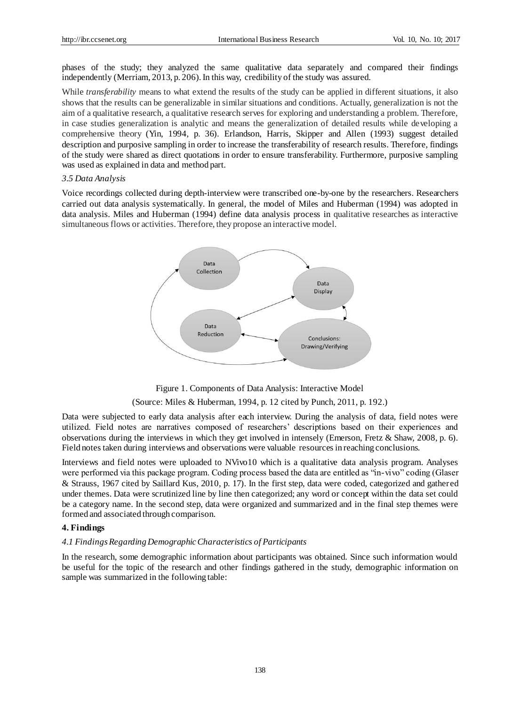phases of the study; they analyzed the same qualitative data separately and compared their findings independently (Merriam, 2013, p. 206). In this way, credibility of the study was assured.

While *transferability* means to what extend the results of the study can be applied in different situations, it also shows that the results can be generalizable in similar situations and conditions. Actually, generalization is not the aim of a qualitative research, a qualitative research serves for exploring and understanding a problem. Therefore, in case studies generalization is analytic and means the generalization of detailed results while developing a comprehensive theory (Yin, 1994, p. 36). Erlandson, Harris, Skipper and Allen (1993) suggest detailed description and purposive sampling in order to increase the transferability of research results. Therefore, findings of the study were shared as direct quotations in order to ensure transferability. Furthermore, purposive sampling was used as explained in data and method part.

#### *3.5 Data Analysis*

Voice recordings collected during depth-interview were transcribed one-by-one by the researchers. Researchers carried out data analysis systematically. In general, the model of Miles and Huberman (1994) was adopted in data analysis. Miles and Huberman (1994) define data analysis process in qualitative researches as interactive simultaneous flows or activities. Therefore, they propose an interactive model.



Figure 1. Components of Data Analysis: Interactive Model (Source: Miles & Huberman, 1994, p. 12 cited by Punch, 2011, p. 192.)

Data were subjected to early data analysis after each interview. During the analysis of data, field notes were utilized. Field notes are narratives composed of researchers' descriptions based on their experiences and observations during the interviews in which they get involved in intensely (Emerson, Fretz & Shaw, 2008, p. 6). Field notes taken during interviews and observations were valuable resources in reaching conclusions.

Interviews and field notes were uploaded to NVivo10 which is a qualitative data analysis program. Analyses were performed via this package program. Coding process based the data are entitled as "in-vivo" coding (Glaser & Strauss, 1967 cited by Saillard Kus, 2010, p. 17). In the first step, data were coded, categorized and gather ed under themes. Data were scrutinized line by line then categorized; any word or concept within the data set could be a category name. In the second step, data were organized and summarized and in the final step themes were formed and associated through comparison.

## **4. Findings**

## *4.1 Findings Regarding Demographic Characteristics of Participants*

In the research, some demographic information about participants was obtained. Since such information would be useful for the topic of the research and other findings gathered in the study, demographic information on sample was summarized in the following table: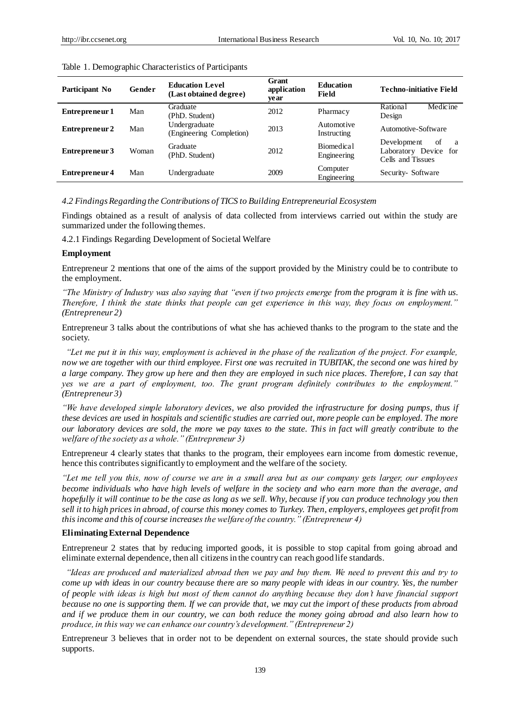| Participant No | Gender | <b>Education Level</b><br>(Last obtained degree) | Grant<br>application<br>year | <b>Education</b><br>Field        | <b>Techno-initiative Field</b>                                       |
|----------------|--------|--------------------------------------------------|------------------------------|----------------------------------|----------------------------------------------------------------------|
| Entrepreneur 1 | Man    | Graduate<br>(PhD. Student)                       | 2012                         | Pharmacy                         | Rational<br>Medicine<br>Design                                       |
| Entrepreneur 2 | Man    | Undergraduate<br>(Engineering Completion)        | 2013                         | Automotive<br>Instructing        | Automotive-Software                                                  |
| Entrepreneur 3 | Woman  | Graduate<br>(PhD. Student)                       | 2012                         | <b>Biomedical</b><br>Engineering | of<br>Development<br>a<br>Laboratory Device for<br>Cells and Tissues |
| Entrepreneur 4 | Man    | Undergraduate                                    | 2009                         | Computer<br>Engineering          | Security-Software                                                    |

#### Table 1. Demographic Characteristics of Participants

#### *4.2 Findings Regarding the Contributions of TICS to Building Entrepreneurial Ecosystem*

Findings obtained as a result of analysis of data collected from interviews carried out within the study are summarized under the following themes.

4.2.1 Findings Regarding Development of Societal Welfare

#### **Employment**

Entrepreneur 2 mentions that one of the aims of the support provided by the Ministry could be to contribute to the employment.

*"The Ministry of Industry was also saying that "even if two projects emerge from the program it is fine with us. Therefore, I think the state thinks that people can get experience in this way, they focus on employment." (Entrepreneur 2)*

Entrepreneur 3 talks about the contributions of what she has achieved thanks to the program to the state and the society.

*"Let me put it in this way, employment is achieved in the phase of the realization of the project. For example, now we are together with our third employee. First one was recruited in TUBITAK, the second one was hired by a large company. They grow up here and then they are employed in such nice places. Therefore, I can say that yes we are a part of employment, too. The grant program definitely contributes to the employment." (Entrepreneur 3)*

*"We have developed simple laboratory devices, we also provided the infrastructure for dosing pumps, thus if these devices are used in hospitals and scientific studies are carried out, more people can be employed. The more our laboratory devices are sold, the more we pay taxes to the state. This in fact will greatly contribute to the welfare of the society as a whole." (Entrepreneur 3)*

Entrepreneur 4 clearly states that thanks to the program, their employees earn income from domestic revenue, hence this contributes significantly to employment and the welfare of the society.

*"Let me tell you this, now of course we are in a small area but as our company gets larger, our employees become individuals who have high levels of welfare in the society and who earn more than the average, and hopefully it will continue to be the case as long as we sell. Why, because if you can produce technology you then sell it to high prices in abroad, of course this money comes to Turkey. Then, employers, employees get profit from this income and this of course increases the welfare of the country." (Entrepreneur 4)*

#### **Eliminating External Dependence**

Entrepreneur 2 states that by reducing imported goods, it is possible to stop capital from going abroad and eliminate external dependence, then all citizens in the country can reach good life standards.

*"Ideas are produced and materialized abroad then we pay and buy them. We need to prevent this and try to come up with ideas in our country because there are so many people with ideas in our country. Yes, the number of people with ideas is high but most of them cannot do anything because they don't have financial support because no one is supporting them. If we can provide that, we may cut the import of these products from abroad and if we produce them in our country, we can both reduce the money going abroad and also learn how to produce, in this way we can enhance our country's development." (Entrepreneur 2)* 

Entrepreneur 3 believes that in order not to be dependent on external sources, the state should provide such supports.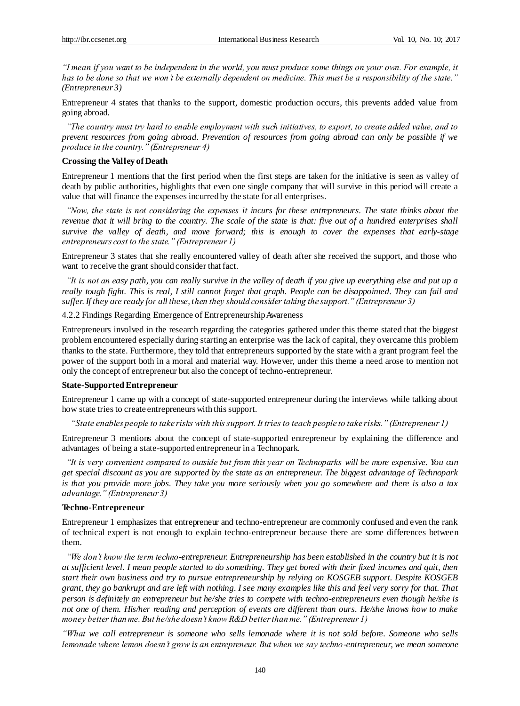*"I mean if you want to be independent in the world, you must produce some things on your own. For example, it has to be done so that we won't be externally dependent on medicine. This must be a responsibility of the state." (Entrepreneur 3)*

Entrepreneur 4 states that thanks to the support, domestic production occurs, this prevents added value from going abroad.

*"The country must try hard to enable employment with such initiatives, to export, to create added value, and to prevent resources from going abroad. Prevention of resources from going abroad can only be possible if we produce in the country." (Entrepreneur 4)*

#### **Crossing the Valley of Death**

Entrepreneur 1 mentions that the first period when the first steps are taken for the initiative is seen as valley of death by public authorities, highlights that even one single company that will survive in this period will create a value that will finance the expenses incurred by the state for all enterprises.

*"Now, the state is not considering the expenses it incurs for these entrepreneurs. The state thinks about the revenue that it will bring to the country. The scale of the state is that: five out of a hundred enterprises shall survive the valley of death, and move forward; this is enough to cover the expenses that early-stage entrepreneurs cost to the state." (Entrepreneur 1)*

Entrepreneur 3 states that she really encountered valley of death after she received the support, and those who want to receive the grant should consider that fact.

*"It is not an easy path, you can really survive in the valley of death if you give up everything else and put up a really tough fight. This is real, I still cannot forget that graph. People can be disappointed. They can fail and suffer. If they are ready for all these, then they should consider taking the support." (Entrepreneur 3)*

4.2.2 Findings Regarding Emergence of Entrepreneurship Awareness

Entrepreneurs involved in the research regarding the categories gathered under this theme stated that the biggest problem encountered especially during starting an enterprise was the lack of capital, they overcame this problem thanks to the state. Furthermore, they told that entrepreneurs supported by the state with a grant program feel the power of the support both in a moral and material way. However, under this theme a need arose to mention not only the concept of entrepreneur but also the concept of techno-entrepreneur.

#### **State-Supported Entrepreneur**

Entrepreneur 1 came up with a concept of state-supported entrepreneur during the interviews while talking about how state tries to create entrepreneurs with this support.

*"State enables people to take risks with this support. It tries to teach people to take risks." (Entrepreneur 1)*

Entrepreneur 3 mentions about the concept of state-supported entrepreneur by explaining the difference and advantages of being a state-supported entrepreneur in a Technopark.

*"It is very convenient compared to outside but from this year on Technoparks will be more expensive. You can get special discount as you are supported by the state as an entrepreneur. The biggest advantage of Technopark is that you provide more jobs. They take you more seriously when you go somewhere and there is also a tax advantage." (Entrepreneur 3)*

#### **Techno-Entrepreneur**

Entrepreneur 1 emphasizes that entrepreneur and techno-entrepreneur are commonly confused and even the rank of technical expert is not enough to explain techno-entrepreneur because there are some differences between them.

*"We don't know the term techno-entrepreneur. Entrepreneurship has been established in the country but it is not at sufficient level. I mean people started to do something. They get bored with their fixed incomes and quit, then start their own business and try to pursue entrepreneurship by relying on KOSGEB support. Despite KOSGEB grant, they go bankrupt and are left with nothing. I see many examples like this and feel very sorry for that. That person is definitely an entrepreneur but he/she tries to compete with techno-entrepreneurs even though he/she is not one of them. His/her reading and perception of events are different than ours. He/she knows how to make money better than me. But he/she doesn't know R&D better than me." (Entrepreneur 1)*

*"What we call entrepreneur is someone who sells lemonade where it is not sold before. Someone who sells lemonade where lemon doesn't grow is an entrepreneur. But when we say techno-entrepreneur, we mean someone*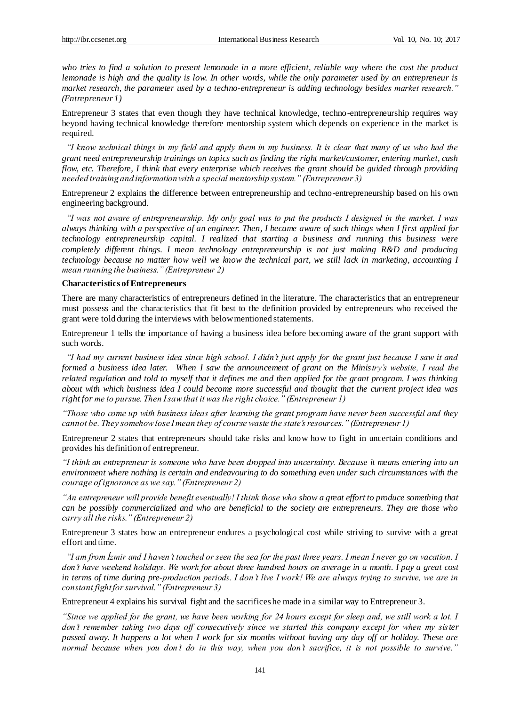who tries to find a solution to present lemonade in a more efficient, reliable way where the cost the product *lemonade is high and the quality is low. In other words, while the only parameter used by an entrepreneur is market research, the parameter used by a techno-entrepreneur is adding technology besides market research." (Entrepreneur 1)*

Entrepreneur 3 states that even though they have technical knowledge, techno-entrepreneurship requires way beyond having technical knowledge therefore mentorship system which depends on experience in the market is required.

*"I know technical things in my field and apply them in my business. It is clear that many of us who had the grant need entrepreneurship trainings on topics such as finding the right market/customer, entering market, cash flow, etc. Therefore, I think that every enterprise which receives the grant should be guided through providing needed training and information with a special mentorship system." (Entrepreneur 3)* 

Entrepreneur 2 explains the difference between entrepreneurship and techno-entrepreneurship based on his own engineering background.

*"I was not aware of entrepreneurship. My only goal was to put the products I designed in the market. I was always thinking with a perspective of an engineer. Then, I became aware of such things when I first applied for technology entrepreneurship capital. I realized that starting a business and running this business were completely different things. I mean technology entrepreneurship is not just making R&D and producing technology because no matter how well we know the technical part, we still lack in marketing, accounting I mean running the business." (Entrepreneur 2)*

#### **Characteristics of Entrepreneurs**

There are many characteristics of entrepreneurs defined in the literature. The characteristics that an entrepreneur must possess and the characteristics that fit best to the definition provided by entrepreneurs who received the grant were told during the interviews with below mentioned statements.

Entrepreneur 1 tells the importance of having a business idea before becoming aware of the grant support with such words.

*"I had my current business idea since high school. I didn't just apply for the grant just because I saw it and formed a business idea later. When I saw the announcement of grant on the Ministry's website, I read the related regulation and told to myself that it defines me and then applied for the grant program. I was thinking about with which business idea I could become more successful and thought that the current project idea was right for me to pursue. Then I saw that it was the right choice." (Entrepreneur 1)*

*"Those who come up with business ideas after learning the grant program have never been successful and they cannot be. They somehow lose I mean they of course waste the state's resources." (Entrepreneur 1)*

Entrepreneur 2 states that entrepreneurs should take risks and know how to fight in uncertain conditions and provides his definition of entrepreneur.

*"I think an entrepreneur is someone who have been dropped into uncertainty. Because it means entering into an environment where nothing is certain and endeavouring to do something even under such circumstances with the courage of ignorance as we say." (Entrepreneur 2)*

*"An entrepreneur will provide benefit eventually! I think those who show a great effort to produce something that can be possibly commercialized and who are beneficial to the society are entrepreneurs. They are those who carry all the risks." (Entrepreneur 2)*

Entrepreneur 3 states how an entrepreneur endures a psychological cost while striving to survive with a great effort and time.

*"I am from İzmir and I haven't touched or seen the sea for the past three years. I mean I never go on vacation. I don't have weekend holidays. We work for about three hundred hours on average in a month. I pay a great cost in terms of time during pre-production periods. I don't live I work! We are always trying to survive, we are in constant fight for survival." (Entrepreneur 3)*

Entrepreneur 4 explains his survival fight and the sacrifices he made in a similar way to Entrepreneur 3.

*"Since we applied for the grant, we have been working for 24 hours except for sleep and, we still work a lot. I don't remember taking two days off consecutively since we started this company except for when my sister passed away. It happens a lot when I work for six months without having any day off or holiday. These are normal because when you don't do in this way, when you don't sacrifice, it is not possible to survive."*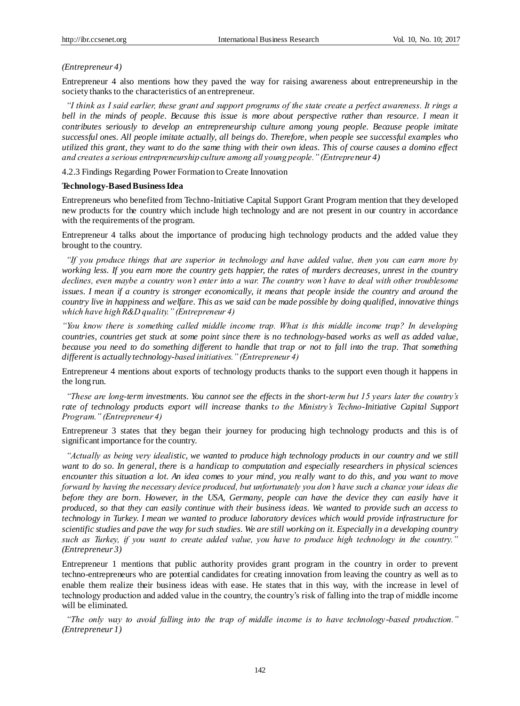#### *(Entrepreneur 4)*

Entrepreneur 4 also mentions how they paved the way for raising awareness about entrepreneurship in the society thanks to the characteristics of an entrepreneur.

*"I think as I said earlier, these grant and support programs of the state create a perfect awareness. It rings a bell in the minds of people. Because this issue is more about perspective rather than resource. I mean it contributes seriously to develop an entrepreneurship culture among young people. Because people imitate successful ones. All people imitate actually, all beings do. Therefore, when people see successful examples who utilized this grant, they want to do the same thing with their own ideas. This of course causes a domino effect and creates a serious entrepreneurship culture among all young people." (Entrepreneur 4)*

4.2.3 Findings Regarding Power Formation to Create Innovation

#### **Technology-Based Business Idea**

Entrepreneurs who benefited from Techno-Initiative Capital Support Grant Program mention that they developed new products for the country which include high technology and are not present in our country in accordance with the requirements of the program.

Entrepreneur 4 talks about the importance of producing high technology products and the added value they brought to the country.

*"If you produce things that are superior in technology and have added value, then you can earn more by working less. If you earn more the country gets happier, the rates of murders decreases, unrest in the country declines, even maybe a country won't enter into a war. The country won't have to deal with other troublesome issues. I mean if a country is stronger economically, it means that people inside the country and around the country live in happiness and welfare. This as we said can be made possible by doing qualified, innovative things which have high R&D quality." (Entrepreneur 4)*

*"You know there is something called middle income trap. What is this middle income trap? In developing countries, countries get stuck at some point since there is no technology-based works as well as added value, because you need to do something different to handle that trap or not to fall into the trap. That something different is actually technology-based initiatives." (Entrepreneur 4)*

Entrepreneur 4 mentions about exports of technology products thanks to the support even though it happens in the long run.

*"These are long-term investments. You cannot see the effects in the short-term but 15 years later the country's rate of technology products export will increase thanks to the Ministry's Techno*-*Initiative Capital Support Program." (Entrepreneur 4)*

Entrepreneur 3 states that they began their journey for producing high technology products and this is of significant importance for the country.

*"Actually as being very idealistic, we wanted to produce high technology products in our country and we still want to do so. In general, there is a handicap to computation and especially researchers in physical sciences encounter this situation a lot. An idea comes to your mind, you really want to do this, and you want to move forward by having the necessary device produced, but unfortunately you don't have such a chance your ideas die before they are born. However, in the USA, Germany, people can have the device they can easily have it produced, so that they can easily continue with their business ideas. We wanted to provide such an access to technology in Turkey. I mean we wanted to produce laboratory devices which would provide infrastructure for scientific studies and pave the way for such studies. We are still working on it. Especially in a developing country such as Turkey, if you want to create added value, you have to produce high technology in the country." (Entrepreneur 3)*

Entrepreneur 1 mentions that public authority provides grant program in the country in order to prevent techno-entrepreneurs who are potential candidates for creating innovation from leaving the country as well as to enable them realize their business ideas with ease. He states that in this way, with the increase in level of technology production and added value in the country, the country's risk of falling into the trap of middle income will be eliminated.

*"The only way to avoid falling into the trap of middle income is to have technology-based production." (Entrepreneur 1)*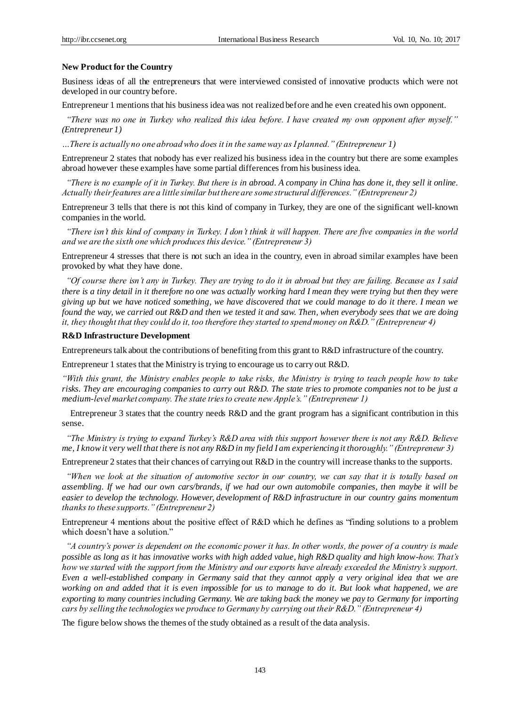#### **New Product for the Country**

Business ideas of all the entrepreneurs that were interviewed consisted of innovative products which were not developed in our country before.

Entrepreneur 1 mentions that his business idea was not realized before and he even created his own opponent.

*"There was no one in Turkey who realized this idea before. I have created my own opponent after myself." (Entrepreneur 1)*

*…There is actually no one abroad who does it in the same way as I planned." (Entrepreneur 1)*

Entrepreneur 2 states that nobody has ever realized his business idea in the country but there are some examples abroad however these examples have some partial differences from his business idea.

*"There is no example of it in Turkey. But there is in abroad. A company in China has done it, they sell it online. Actually their features are a little similar but there are some structural differences." (Entrepreneur 2)*

Entrepreneur 3 tells that there is not this kind of company in Turkey, they are one of the significant well-known companies in the world.

*"There isn't this kind of company in Turkey. I don't think it will happen. There are five companies in the world and we are the sixth one which produces this device." (Entrepreneur 3)*

Entrepreneur 4 stresses that there is not such an idea in the country, even in abroad similar examples have been provoked by what they have done.

*"Of course there isn't any in Turkey. They are trying to do it in abroad but they are failing. Because as I said there is a tiny detail in it therefore no one was actually working hard I mean they were trying but then they were giving up but we have noticed something, we have discovered that we could manage to do it there. I mean we found the way, we carried out R&D and then we tested it and saw. Then, when everybody sees that we are doing it, they thought that they could do it, too therefore they started to spend money on R&D." (Entrepreneur 4)*

#### **R&D Infrastructure Development**

Entrepreneurs talk about the contributions of benefiting from this grant to R&D infrastructure of the country.

Entrepreneur 1 states that the Ministry is trying to encourage us to carry out R&D.

*"With this grant, the Ministry enables people to take risks, the Ministry is trying to teach people how to take risks. They are encouraging companies to carry out R&D. The state tries to promote companies not to be just a medium-level market company. The state tries to create new Apple's." (Entrepreneur 1)*

Entrepreneur 3 states that the country needs R&D and the grant program has a significant contribution in this sense.

*"The Ministry is trying to expand Turkey's R&D area with this support however there is not any R&D. Believe me, I know it very well that there is not any R&D in my field I am experiencing it thoroughly." (Entrepreneur 3)*

Entrepreneur 2 states that their chances of carrying out R&D in the country will increase thanks to the supports.

*"When we look at the situation of automotive sector in our country, we can say that it is totally based on assembling. If we had our own cars/brands, if we had our own automobile companies, then maybe it will be easier to develop the technology. However, development of R&D infrastructure in our country gains momentum thanks to these supports." (Entrepreneur 2)*

Entrepreneur 4 mentions about the positive effect of R&D which he defines as "finding solutions to a problem which doesn't have a solution."

*"A country's power is dependent on the economic power it has. In other words, the power of a country is made possible as long as it has innovative works with high added value, high R&D quality and high know-how. That's how we started with the support from the Ministry and our exports have already exceeded the Ministry's support. Even a well-established company in Germany said that they cannot apply a very original idea that we are working on and added that it is even impossible for us to manage to do it. But look what happened, we are exporting to many countries including Germany. We are taking back the money we pay to Germany for importing cars by selling the technologies we produce to Germany by carrying out their R&D." (Entrepreneur 4)*

The figure below shows the themes of the study obtained as a result of the data analysis.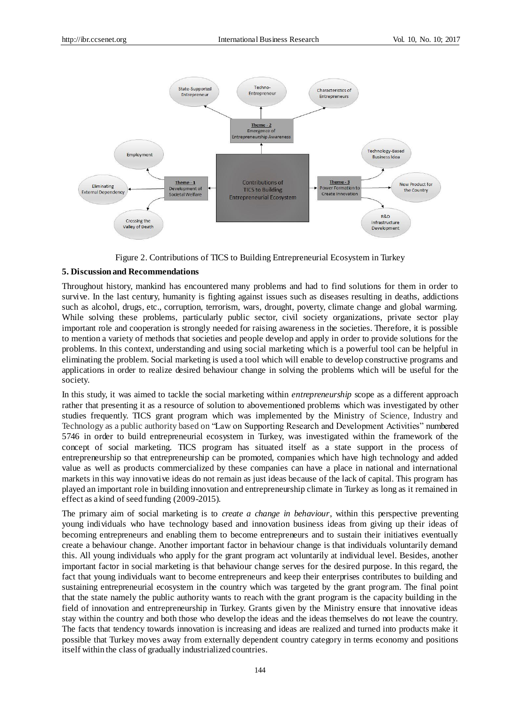

Figure 2. Contributions of TICS to Building Entrepreneurial Ecosystem in Turkey

## **5. Discussion and Recommendations**

Throughout history, mankind has encountered many problems and had to find solutions for them in order to survive. In the last century, humanity is fighting against issues such as diseases resulting in deaths, addictions such as alcohol, drugs, etc., corruption, terrorism, wars, drought, poverty, climate change and global warming. While solving these problems, particularly public sector, civil society organizations, private sector play important role and cooperation is strongly needed for raising awareness in the societies. Therefore, it is possible to mention a variety of methods that societies and people develop and apply in order to provide solutions for the problems. In this context, understanding and using social marketing which is a powerful tool can be helpful in eliminating the problem. Social marketing is used a tool which will enable to develop constructive programs and applications in order to realize desired behaviour change in solving the problems which will be useful for the society.

In this study, it was aimed to tackle the social marketing within *entrepreneurship* scope as a different approach rather that presenting it as a resource of solution to abovementioned problems which was investigated by other studies frequently. TICS grant program which was implemented by the Ministry of Science, Industry and Technology as a public authority based on "Law on Supporting Research and Development Activities" numbered 5746 in order to build entrepreneurial ecosystem in Turkey, was investigated within the framework of the concept of social marketing. TICS program has situated itself as a state support in the process of entrepreneurship so that entrepreneurship can be promoted, companies which have high technology and added value as well as products commercialized by these companies can have a place in national and international markets in this way innovative ideas do not remain as just ideas because of the lack of capital. This program has played an important role in building innovation and entrepreneurship climate in Turkey as long as it remained in effect as a kind of seed funding (2009-2015).

The primary aim of social marketing is to *create a change in behaviour*, within this perspective preventing young individuals who have technology based and innovation business ideas from giving up their ideas of becoming entrepreneurs and enabling them to become entrepreneurs and to sustain their initiatives eventually create a behaviour change. Another important factor in behaviour change is that individuals voluntarily demand this. All young individuals who apply for the grant program act voluntarily at individual level. Besides, another important factor in social marketing is that behaviour change serves for the desired purpose. In this regard, the fact that young individuals want to become entrepreneurs and keep their enterprises contributes to building and sustaining entrepreneurial ecosystem in the country which was targeted by the grant program. The final point that the state namely the public authority wants to reach with the grant program is the capacity building in the field of innovation and entrepreneurship in Turkey. Grants given by the Ministry ensure that innovative ideas stay within the country and both those who develop the ideas and the ideas themselves do not leave the country. The facts that tendency towards innovation is increasing and ideas are realized and turned into products make it possible that Turkey moves away from externally dependent country category in terms economy and positions itself within the class of gradually industrialized countries.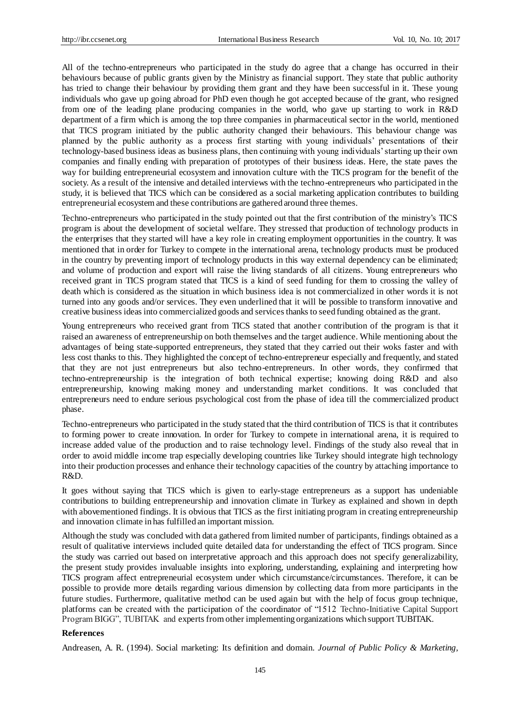All of the techno-entrepreneurs who participated in the study do agree that a change has occurred in their behaviours because of public grants given by the Ministry as financial support. They state that public authority has tried to change their behaviour by providing them grant and they have been successful in it. These young individuals who gave up going abroad for PhD even though he got accepted because of the grant, who resigned from one of the leading plane producing companies in the world, who gave up starting to work in R&D department of a firm which is among the top three companies in pharmaceutical sector in the world, mentioned that TICS program initiated by the public authority changed their behaviours. This behaviour change was planned by the public authority as a process first starting with young individuals' presentations of their technology-based business ideas as business plans, then continuing with young individuals' starting up their own companies and finally ending with preparation of prototypes of their business ideas. Here, the state paves the way for building entrepreneurial ecosystem and innovation culture with the TICS program for the benefit of the society. As a result of the intensive and detailed interviews with the techno-entrepreneurs who participated in the study, it is believed that TICS which can be considered as a social marketing application contributes to building entrepreneurial ecosystem and these contributions are gathered around three themes.

Techno-entrepreneurs who participated in the study pointed out that the first contribution of the ministry's TICS program is about the development of societal welfare. They stressed that production of technology products in the enterprises that they started will have a key role in creating employment opportunities in the country. It was mentioned that in order for Turkey to compete in the international arena, technology products must be produced in the country by preventing import of technology products in this way external dependency can be eliminated; and volume of production and export will raise the living standards of all citizens. Young entrepreneurs who received grant in TICS program stated that TICS is a kind of seed funding for them to crossing the valley of death which is considered as the situation in which business idea is not commercialized in other words it is not turned into any goods and/or services. They even underlined that it will be possible to transform innovative and creative business ideas into commercialized goods and services thanks to seed funding obtained as the grant.

Young entrepreneurs who received grant from TICS stated that another contribution of the program is that it raised an awareness of entrepreneurship on both themselves and the target audience. While mentioning about the advantages of being state-supported entrepreneurs, they stated that they carried out their woks faster and with less cost thanks to this. They highlighted the concept of techno-entrepreneur especially and frequently, and stated that they are not just entrepreneurs but also techno-entrepreneurs. In other words, they confirmed that techno-entrepreneurship is the integration of both technical expertise; knowing doing R&D and also entrepreneurship, knowing making money and understanding market conditions. It was concluded that entrepreneurs need to endure serious psychological cost from the phase of idea till the commercialized product phase.

Techno-entrepreneurs who participated in the study stated that the third contribution of TICS is that it contributes to forming power to create innovation. In order for Turkey to compete in international arena, it is required to increase added value of the production and to raise technology level. Findings of the study also reveal that in order to avoid middle income trap especially developing countries like Turkey should integrate high technology into their production processes and enhance their technology capacities of the country by attaching importance to R&D.

It goes without saying that TICS which is given to early-stage entrepreneurs as a support has undeniable contributions to building entrepreneurship and innovation climate in Turkey as explained and shown in depth with abovementioned findings. It is obvious that TICS as the first initiating program in creating entrepreneurship and innovation climate in has fulfilled an important mission.

Although the study was concluded with data gathered from limited number of participants, findings obtained as a result of qualitative interviews included quite detailed data for understanding the effect of TICS program. Since the study was carried out based on interpretative approach and this approach does not specify generalizability, the present study provides invaluable insights into exploring, understanding, explaining and interpreting how TICS program affect entrepreneurial ecosystem under which circumstance/circumstances. Therefore, it can be possible to provide more details regarding various dimension by collecting data from more participants in the future studies. Furthermore, qualitative method can be used again but with the help of focus group technique, platforms can be created with the participation of the coordinator of "1512 Techno-Initiative Capital Support Program BIGG", TUBITAK and experts from other implementing organizations which support TUBITAK.

#### **References**

Andreasen, A. R. (1994). Social marketing: Its definition and domain. *Journal of Public Policy & Marketing,*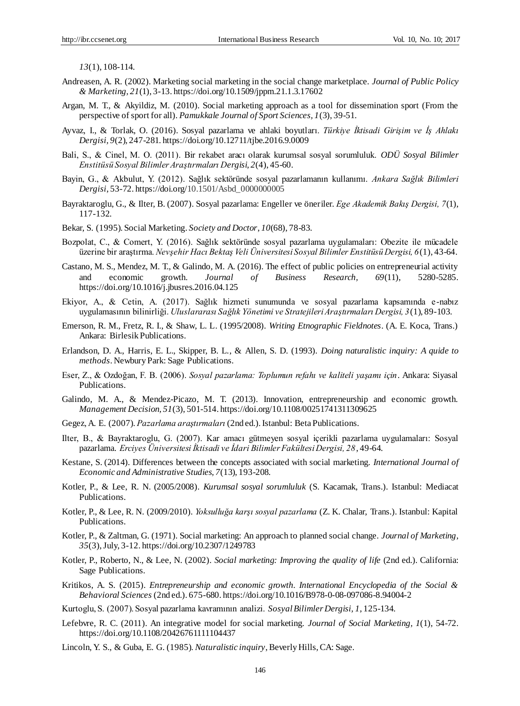*13*(1), 108-114.

- Andreasen, A. R. (2002). Marketing social marketing in the social change marketplace. *Journal of Public Policy & Marketing, 21*(1), 3-13. https://doi.org/10.1509/jppm.21.1.3.17602
- Argan, M. T., & Akyildiz, M. (2010). Social marketing approach as a tool for dissemination sport (From the perspective of sport for all). *Pamukkale Journal of Sport Sciences, 1*(3), 39-51.
- Ayvaz, I., & Torlak, O. (2016). Sosyal pazarlama ve ahlaki boyutları. *Türkiye İktisadi Girişim ve İş Ahlakı Dergisi, 9*(2), 247-281. https://doi.org/10.12711/tjbe.2016.9.0009
- Bali, S., & Cinel, M. O. (2011). Bir rekabet aracı olarak kurumsal sosyal sorumluluk. *ODÜ Sosyal Bilimler Enstitüsü Sosyal Bilimler Araştırmaları Dergisi, 2*(4), 45-60.
- Bayin, G., & Akbulut, Y. (2012). Sağlık sektöründe sosyal pazarlamanın kullanımı. *Ankara Sağlık Bilimleri Dergisi*, 53-72. https://doi.org/10.1501/Asbd\_0000000005
- Bayraktaroglu, G., & Ilter, B. (2007). Sosyal pazarlama: Engeller ve öneriler. *Ege Akademik Bakış Dergisi, 7*(1), 117-132.
- Bekar, S. (1995). Social Marketing. *Society and Doctor*, *10*(68), 78-83.
- Bozpolat, C., & Comert, Y. (2016). Sağlık sektöründe sosyal pazarlama uygulamaları: Obezite ile mücadele üzerine bir araştırma. *Nevşehir Hacı Bektaş Veli Üniversitesi Sosyal Bilimler Enstitüsü Dergisi, 6*(1), 43-64.
- Castano, M. S., Mendez, M. T., & Galindo, M. A. (2016). The effect of public policies on entrepreneurial activity and economic growth. *Journal of Business Research, 69*(11), 5280-5285. https://doi.org/10.1016/j.jbusres.2016.04.125
- Ekiyor, A., & Cetin, A. (2017). Sağlık hizmeti sunumunda ve sosyal pazarlama kapsamında e-nabız uygulamasının bilinirliği. *Uluslararası Sağlık Yönetimi ve Stratejileri Araştırmaları Dergisi, 3*(1), 89-103.
- Emerson, R. M., Fretz, R. I., & Shaw, L. L. (1995/2008). *Writing Etnographic Fieldnotes*. (A. E. Koca, Trans.) Ankara: Birlesik Publications.
- Erlandson, D. A., Harris, E. L., Skipper, B. L., & Allen, S. D. (1993). *Doing naturalistic inquiry: A quide to methods*. Newbury Park: Sage Publications.
- Eser, Z., & Ozdoğan, F. B. (2006). *Sosyal pazarlama: Toplumun refahı ve kaliteli yaşamı için*. Ankara: Siyasal Publications.
- Galindo, M. A., & Mendez-Picazo, M. T. (2013). Innovation, entrepreneurship and economic growth. *Management Decision, 51*(3), 501-514. https://doi.org/10.1108/00251741311309625
- Gegez, A. E. (2007). *Pazarlama araştırmaları* (2nd ed.). Istanbul: Beta Publications.
- Ilter, B., & Bayraktaroglu, G. (2007). Kar amacı gütmeyen sosyal içerikli pazarlama uygulamaları: Sosyal pazarlama. *Erciyes Üniversitesi İktisadi ve İdari Bilimler Fakültesi Dergisi, 28*, 49-64.
- Kestane, S. (2014). Differences between the concepts associated with social marketing. *International Journal of Economic and Administrative Studies, 7*(13), 193-208.
- Kotler, P., & Lee, R. N. (2005/2008). *Kurumsal sosyal sorumluluk* (S. Kacamak, Trans.). Istanbul: Mediacat Publications.
- Kotler, P., & Lee, R. N. (2009/2010). *Yoksulluğa karşı sosyal pazarlama* (Z. K. Chalar, Trans.). Istanbul: Kapital Publications.
- Kotler, P., & Zaltman, G. (1971). Social marketing: An approach to planned social change. *Journal of Marketing*, *35*(3), July, 3-12. https://doi.org/10.2307/1249783
- Kotler, P., Roberto, N., & Lee, N. (2002). *Social marketing: Improving the quality of life* (2nd ed.). California: Sage Publications.
- Kritikos, A. S. (2015). *Entrepreneurship and economic growth. International Encyclopedia of the Social & Behavioral Sciences* (2nd ed.). 675-680. https://doi.org/10.1016/B978-0-08-097086-8.94004-2
- Kurtoglu, S. (2007). Sosyal pazarlama kavramının analizi. *Sosyal Bilimler Dergisi, 1*, 125-134.
- Lefebvre, R. C. (2011). An integrative model for social marketing. *Journal of Social Marketing, 1*(1), 54-72. https://doi.org/10.1108/20426761111104437
- Lincoln, Y. S., & Guba, E. G. (1985). *Naturalistic inquiry*, Beverly Hills, CA: Sage.